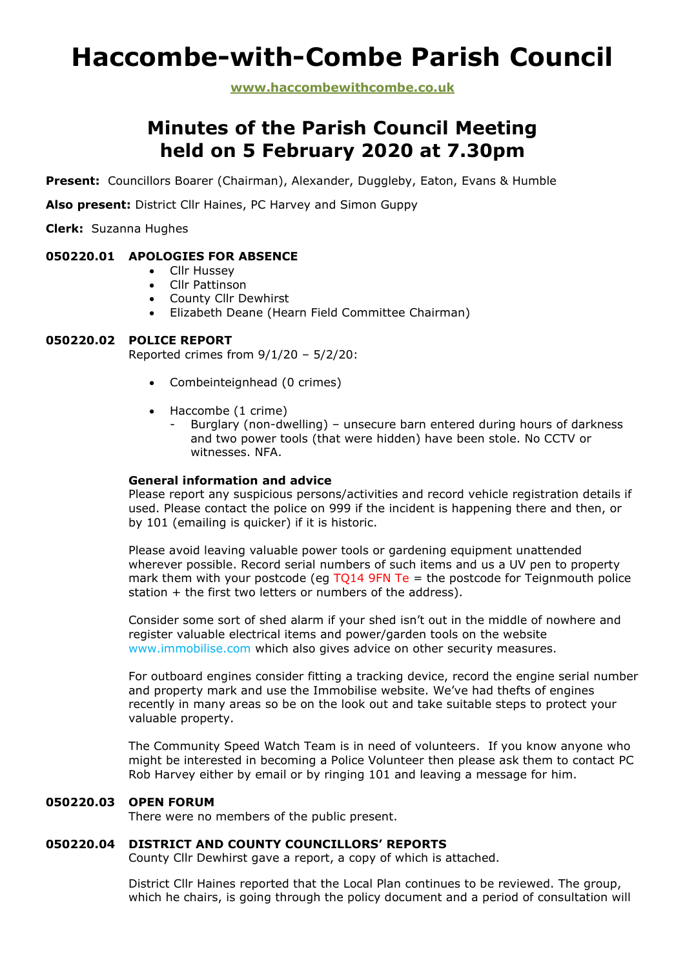# **Haccombe-with-Combe Parish Council**

**www.haccombewithcombe.co.uk**

# **Minutes of the Parish Council Meeting held on 5 February 2020 at 7.30pm**

**Present:** Councillors Boarer (Chairman), Alexander, Duggleby, Eaton, Evans & Humble

**Also present:** District Cllr Haines, PC Harvey and Simon Guppy

**Clerk:** Suzanna Hughes

# **050220.01 APOLOGIES FOR ABSENCE**

- Cllr Hussey
- Cllr Pattinson
- County Cllr Dewhirst
- Elizabeth Deane (Hearn Field Committee Chairman)

# **050220.02 POLICE REPORT**

Reported crimes from 9/1/20 – 5/2/20:

- Combeinteignhead (0 crimes)
- Haccombe (1 crime)
	- Burglary (non-dwelling) unsecure barn entered during hours of darkness and two power tools (that were hidden) have been stole. No CCTV or witnesses. NFA.

# **General information and advice**

Please report any suspicious persons/activities and record vehicle registration details if used. Please contact the police on 999 if the incident is happening there and then, or by 101 (emailing is quicker) if it is historic.

Please avoid leaving valuable power tools or gardening equipment unattended wherever possible. Record serial numbers of such items and us a UV pen to property mark them with your postcode (eq TO14 9FN Te = the postcode for Teignmouth police station + the first two letters or numbers of the address).

Consider some sort of shed alarm if your shed isn't out in the middle of nowhere and register valuable electrical items and power/garden tools on the website www.immobilise.com which also gives advice on other security measures.

For outboard engines consider fitting a tracking device, record the engine serial number and property mark and use the Immobilise website. We've had thefts of engines recently in many areas so be on the look out and take suitable steps to protect your valuable property.

The Community Speed Watch Team is in need of volunteers. If you know anyone who might be interested in becoming a Police Volunteer then please ask them to contact PC Rob Harvey either by email or by ringing 101 and leaving a message for him.

# **050220.03 OPEN FORUM**

There were no members of the public present.

# **050220.04 DISTRICT AND COUNTY COUNCILLORS' REPORTS**

County Cllr Dewhirst gave a report, a copy of which is attached.

District Cllr Haines reported that the Local Plan continues to be reviewed. The group, which he chairs, is going through the policy document and a period of consultation will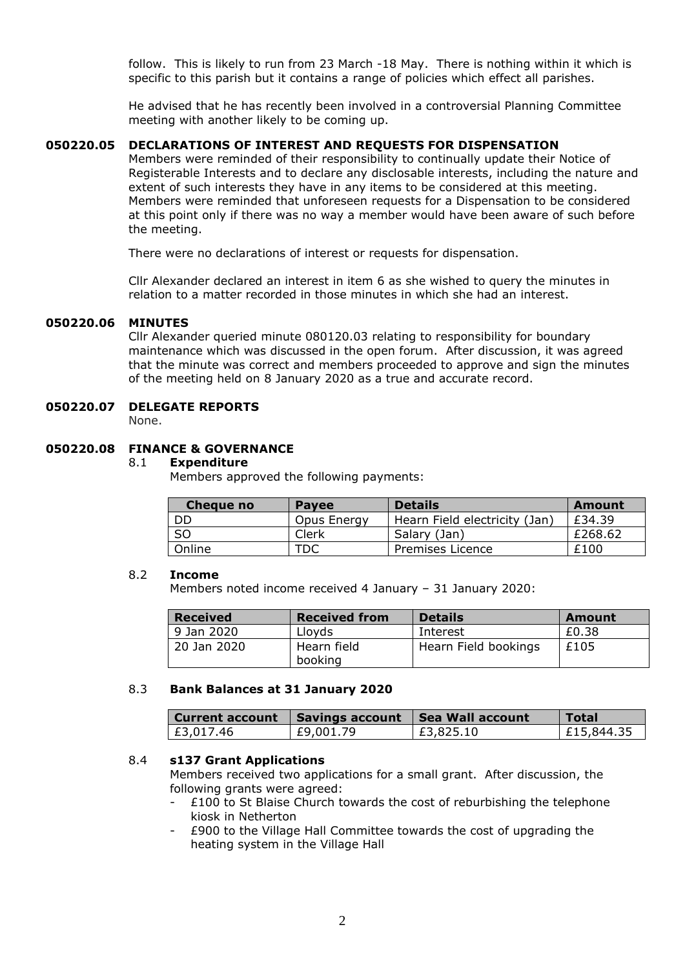follow. This is likely to run from 23 March -18 May. There is nothing within it which is specific to this parish but it contains a range of policies which effect all parishes.

He advised that he has recently been involved in a controversial Planning Committee meeting with another likely to be coming up.

# **050220.05 DECLARATIONS OF INTEREST AND REQUESTS FOR DISPENSATION**

Members were reminded of their responsibility to continually update their Notice of Registerable Interests and to declare any disclosable interests, including the nature and extent of such interests they have in any items to be considered at this meeting. Members were reminded that unforeseen requests for a Dispensation to be considered at this point only if there was no way a member would have been aware of such before the meeting.

There were no declarations of interest or requests for dispensation.

Cllr Alexander declared an interest in item 6 as she wished to query the minutes in relation to a matter recorded in those minutes in which she had an interest.

#### **050220.06 MINUTES**

Cllr Alexander queried minute 080120.03 relating to responsibility for boundary maintenance which was discussed in the open forum. After discussion, it was agreed that the minute was correct and members proceeded to approve and sign the minutes of the meeting held on 8 January 2020 as a true and accurate record.

# **050220.07 DELEGATE REPORTS**

None.

# **050220.08 FINANCE & GOVERNANCE**

#### 8.1 **Expenditure**

Members approved the following payments:

| Cheaue no      | <b>Pavee</b> | <b>Details</b>                | <b>Amount</b> |
|----------------|--------------|-------------------------------|---------------|
| DD             | Opus Energy  | Hearn Field electricity (Jan) | £34.39        |
| S <sub>O</sub> | Clerk        | Salary (Jan)                  | £268.62       |
| Online         | TDC          | Premises Licence              | £100          |

#### 8.2 **Income**

Members noted income received 4 January – 31 January 2020:

| <b>Received</b> | <b>Received from</b>   | <b>Details</b>       | Amount |
|-----------------|------------------------|----------------------|--------|
| 9 Jan 2020      | Lloyds                 | Interest             | £0.38  |
| 20 Jan 2020     | Hearn field<br>booking | Hearn Field bookings | £105   |

#### 8.3 **Bank Balances at 31 January 2020**

|           | Current account   Savings account   Sea Wall account |           | Total      |
|-----------|------------------------------------------------------|-----------|------------|
| £3,017.46 | £9,001.79                                            | £3,825.10 | E15,844.35 |

#### 8.4 **s137 Grant Applications**

Members received two applications for a small grant. After discussion, the following grants were agreed:

- $£100$  to St Blaise Church towards the cost of reburbishing the telephone kiosk in Netherton
- £900 to the Village Hall Committee towards the cost of upgrading the heating system in the Village Hall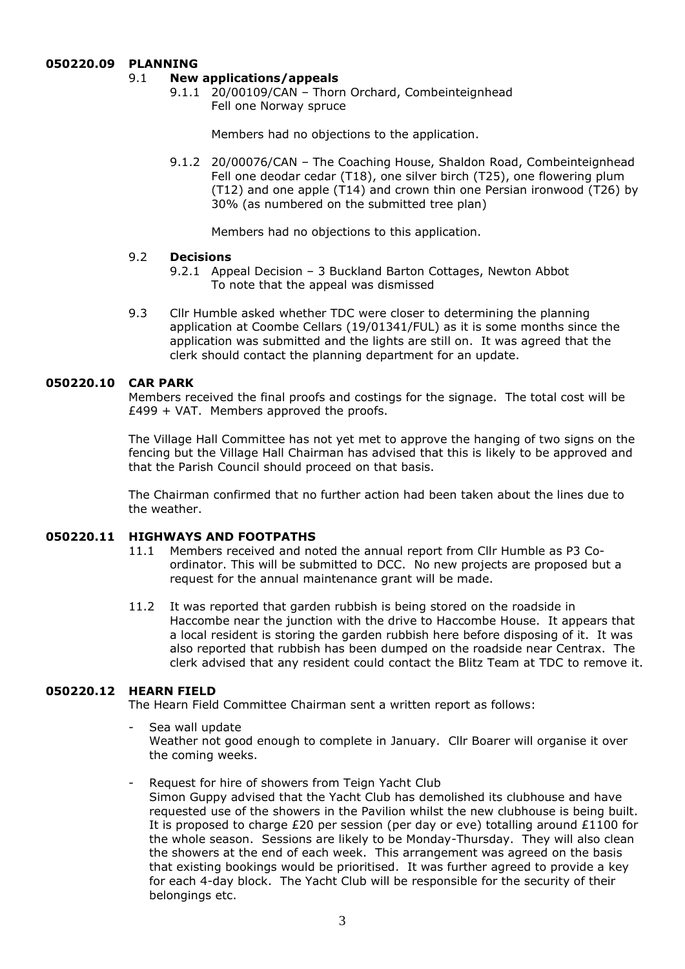# **050220.09 PLANNING**

# 9.1 **New applications/appeals**

9.1.1 20/00109/CAN – Thorn Orchard, Combeinteignhead Fell one Norway spruce

Members had no objections to the application.

9.1.2 20/00076/CAN – The Coaching House, Shaldon Road, Combeinteignhead Fell one deodar cedar (T18), one silver birch (T25), one flowering plum (T12) and one apple (T14) and crown thin one Persian ironwood (T26) by 30% (as numbered on the submitted tree plan)

Members had no objections to this application.

# 9.2 **Decisions**

- 9.2.1 Appeal Decision 3 Buckland Barton Cottages, Newton Abbot To note that the appeal was dismissed
- 9.3 Cllr Humble asked whether TDC were closer to determining the planning application at Coombe Cellars (19/01341/FUL) as it is some months since the application was submitted and the lights are still on. It was agreed that the clerk should contact the planning department for an update.

# **050220.10 CAR PARK**

Members received the final proofs and costings for the signage. The total cost will be  $£499 + VAT.$  Members approved the proofs.

The Village Hall Committee has not yet met to approve the hanging of two signs on the fencing but the Village Hall Chairman has advised that this is likely to be approved and that the Parish Council should proceed on that basis.

The Chairman confirmed that no further action had been taken about the lines due to the weather.

# **050220.11 HIGHWAYS AND FOOTPATHS**

- 11.1 Members received and noted the annual report from Cllr Humble as P3 Coordinator. This will be submitted to DCC. No new projects are proposed but a request for the annual maintenance grant will be made.
- 11.2 It was reported that garden rubbish is being stored on the roadside in Haccombe near the junction with the drive to Haccombe House. It appears that a local resident is storing the garden rubbish here before disposing of it. It was also reported that rubbish has been dumped on the roadside near Centrax. The clerk advised that any resident could contact the Blitz Team at TDC to remove it.

# **050220.12 HEARN FIELD**

The Hearn Field Committee Chairman sent a written report as follows:

- Sea wall update Weather not good enough to complete in January. Cllr Boarer will organise it over the coming weeks.
- Request for hire of showers from Teign Yacht Club

Simon Guppy advised that the Yacht Club has demolished its clubhouse and have requested use of the showers in the Pavilion whilst the new clubhouse is being built. It is proposed to charge £20 per session (per day or eve) totalling around £1100 for the whole season. Sessions are likely to be Monday-Thursday. They will also clean the showers at the end of each week. This arrangement was agreed on the basis that existing bookings would be prioritised. It was further agreed to provide a key for each 4-day block. The Yacht Club will be responsible for the security of their belongings etc.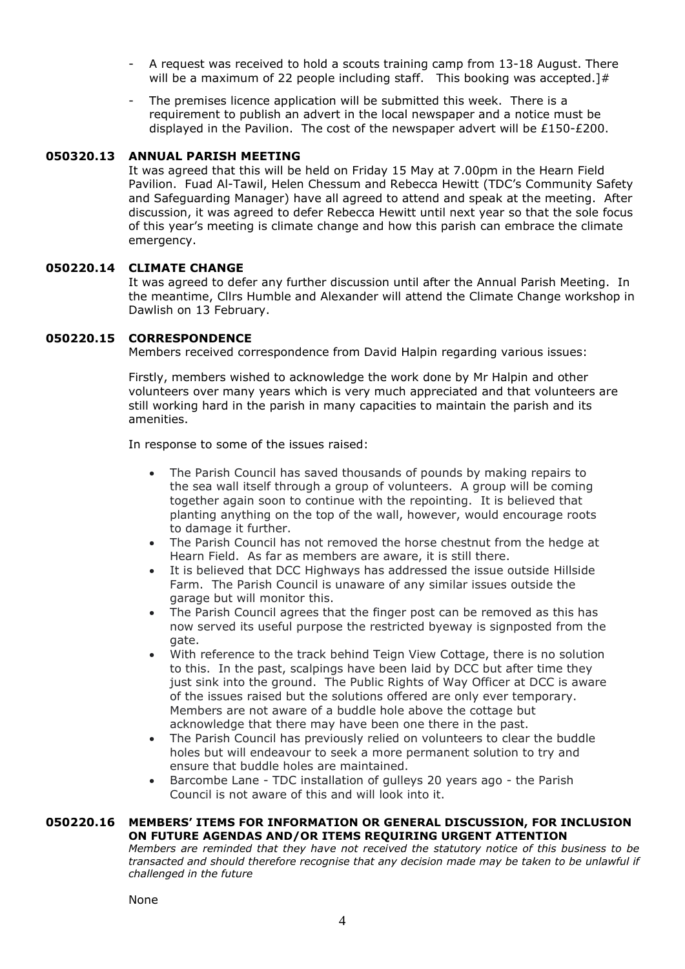- A request was received to hold a scouts training camp from 13-18 August. There will be a maximum of 22 people including staff. This booking was accepted.]#
- The premises licence application will be submitted this week. There is a requirement to publish an advert in the local newspaper and a notice must be displayed in the Pavilion. The cost of the newspaper advert will be £150-£200.

# **050320.13 ANNUAL PARISH MEETING**

It was agreed that this will be held on Friday 15 May at 7.00pm in the Hearn Field Pavilion. Fuad Al-Tawil, Helen Chessum and Rebecca Hewitt (TDC's Community Safety and Safeguarding Manager) have all agreed to attend and speak at the meeting. After discussion, it was agreed to defer Rebecca Hewitt until next year so that the sole focus of this year's meeting is climate change and how this parish can embrace the climate emergency.

#### **050220.14 CLIMATE CHANGE**

It was agreed to defer any further discussion until after the Annual Parish Meeting. In the meantime, Cllrs Humble and Alexander will attend the Climate Change workshop in Dawlish on 13 February.

#### **050220.15 CORRESPONDENCE**

Members received correspondence from David Halpin regarding various issues:

Firstly, members wished to acknowledge the work done by Mr Halpin and other volunteers over many years which is very much appreciated and that volunteers are still working hard in the parish in many capacities to maintain the parish and its amenities.

In response to some of the issues raised:

- The Parish Council has saved thousands of pounds by making repairs to the sea wall itself through a group of volunteers. A group will be coming together again soon to continue with the repointing. It is believed that planting anything on the top of the wall, however, would encourage roots to damage it further.
- The Parish Council has not removed the horse chestnut from the hedge at Hearn Field. As far as members are aware, it is still there.
- It is believed that DCC Highways has addressed the issue outside Hillside Farm. The Parish Council is unaware of any similar issues outside the garage but will monitor this.
- The Parish Council agrees that the finger post can be removed as this has now served its useful purpose the restricted byeway is signposted from the gate.
- With reference to the track behind Teign View Cottage, there is no solution to this. In the past, scalpings have been laid by DCC but after time they just sink into the ground. The Public Rights of Way Officer at DCC is aware of the issues raised but the solutions offered are only ever temporary. Members are not aware of a buddle hole above the cottage but acknowledge that there may have been one there in the past.
- The Parish Council has previously relied on volunteers to clear the buddle holes but will endeavour to seek a more permanent solution to try and ensure that buddle holes are maintained.
- Barcombe Lane TDC installation of gulleys 20 years ago the Parish Council is not aware of this and will look into it.

#### **050220.16 MEMBERS' ITEMS FOR INFORMATION OR GENERAL DISCUSSION, FOR INCLUSION ON FUTURE AGENDAS AND/OR ITEMS REQUIRING URGENT ATTENTION**

*Members are reminded that they have not received the statutory notice of this business to be transacted and should therefore recognise that any decision made may be taken to be unlawful if challenged in the future*

None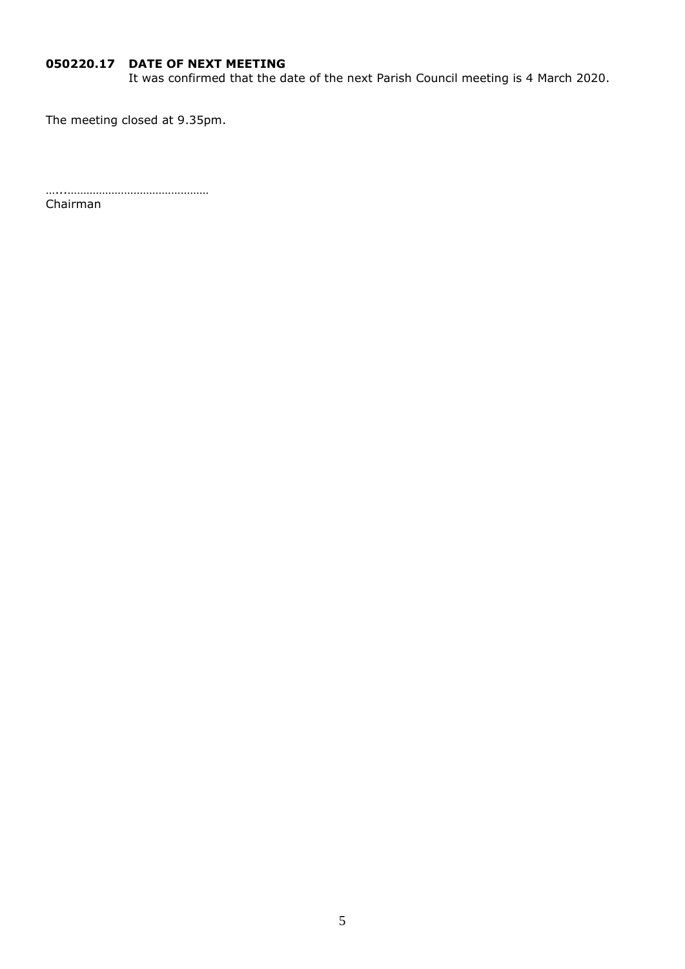# **050220.17 DATE OF NEXT MEETING**

It was confirmed that the date of the next Parish Council meeting is 4 March 2020.

The meeting closed at 9.35pm.

…...………………………………………

Chairman